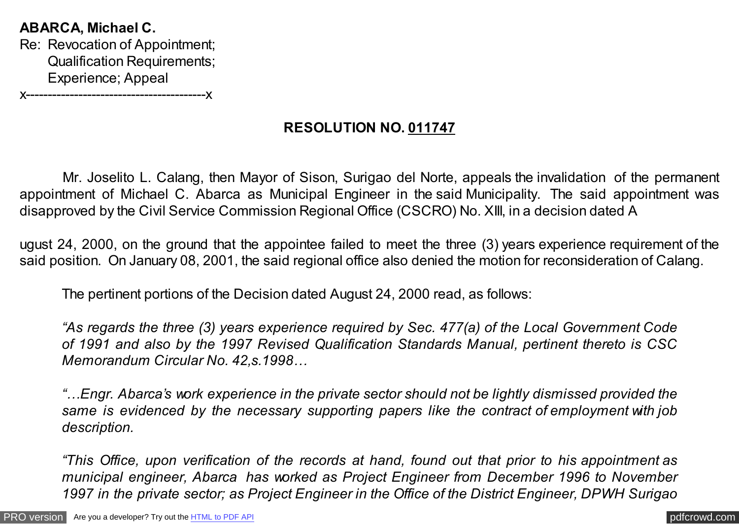**ABARCA, Michael C.** Re: Revocation of Appointment; Qualification Requirements; Experience; Appeal x-----------------------------------------x

# **RESOLUTION NO. 011747**

 Mr. Joselito L. Calang, then Mayor of Sison, Surigao del Norte, appeals the invalidation of the permanent appointment of Michael C. Abarca as Municipal Engineer in the said Municipality. The said appointment was disapproved by the Civil Service Commission Regional Office (CSCRO) No. XIII, in a decision dated A

ugust 24, 2000, on the ground that the appointee failed to meet the three (3) years experience requirement of the said position. On January 08, 2001, the said regional office also denied the motion for reconsideration of Calang.

The pertinent portions of the Decision dated August 24, 2000 read, as follows:

*"As regards the three (3) years experience required by Sec. 477(a) of the Local Government Code of 1991 and also by the 1997 Revised Qualification Standards Manual, pertinent thereto is CSC Memorandum Circular No. 42,s.1998…*

*"…Engr. Abarca's work experience in the private sector should not be lightly dismissed provided the same is evidenced by the necessary supporting papers like the contract of employment with job description.*

*"This Office, upon verification of the records at hand, found out that prior to his appointment as municipal engineer, Abarca has worked as Project Engineer from December 1996 to November 1997 in the private sector; as Project Engineer in the Office of the District Engineer, DPWH Surigao*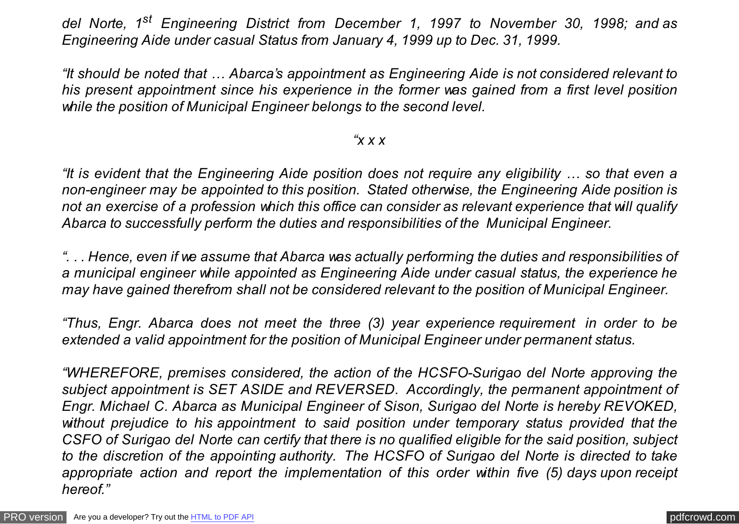*del Norte, 1st Engineering District from December 1, 1997 to November 30, 1998; and as Engineering Aide under casual Status from January 4, 1999 up to Dec. 31, 1999.*

*"It should be noted that … Abarca's appointment as Engineering Aide is not considered relevant to his present appointment since his experience in the former was gained from a first level position while the position of Municipal Engineer belongs to the second level.*

## *"x x x*

*"It is evident that the Engineering Aide position does not require any eligibility … so that even a non-engineer may be appointed to this position. Stated otherwise, the Engineering Aide position is not an exercise of a profession which this office can consider as relevant experience that will qualify Abarca to successfully perform the duties and responsibilities of the Municipal Engineer.*

*". . . Hence, even if we assume that Abarca was actually performing the duties and responsibilities of a municipal engineer while appointed as Engineering Aide under casual status, the experience he may have gained therefrom shall not be considered relevant to the position of Municipal Engineer.*

*"Thus, Engr. Abarca does not meet the three (3) year experience requirement in order to be extended a valid appointment for the position of Municipal Engineer under permanent status.*

*"WHEREFORE, premises considered, the action of the HCSFO-Surigao del Norte approving the subject appointment is SET ASIDE and REVERSED. Accordingly, the permanent appointment of Engr. Michael C. Abarca as Municipal Engineer of Sison, Surigao del Norte is hereby REVOKED, without prejudice to his appointment to said position under temporary status provided that the CSFO of Surigao del Norte can certify that there is no qualified eligible for the said position, subject to the discretion of the appointing authority. The HCSFO of Surigao del Norte is directed to take appropriate action and report the implementation of this order within five (5) days upon receipt hereof."*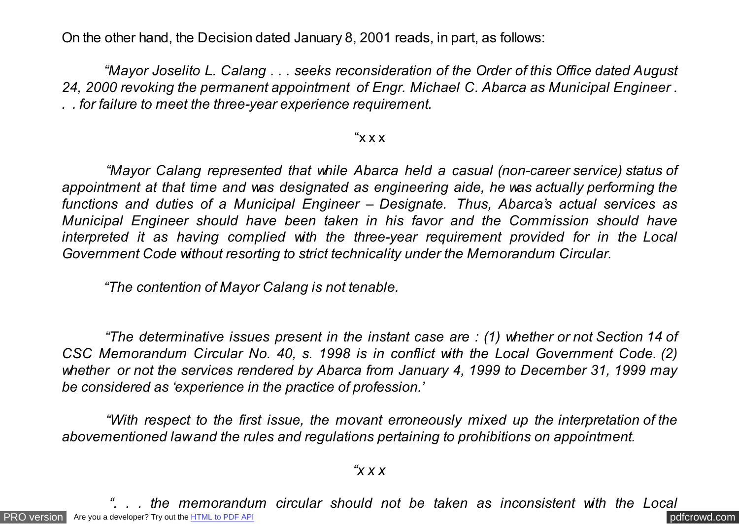On the other hand, the Decision dated January 8, 2001 reads, in part, as follows:

 *"Mayor Joselito L. Calang . . . seeks reconsideration of the Order of this Office dated August 24, 2000 revoking the permanent appointment of Engr. Michael C. Abarca as Municipal Engineer . . . for failure to meet the three-year experience requirement.*

## " $X$  $X$ "

 *"Mayor Calang represented that while Abarca held a casual (non-career service) status of appointment at that time and was designated as engineering aide, he was actually performing the functions and duties of a Municipal Engineer – Designate. Thus, Abarca's actual services as Municipal Engineer should have been taken in his favor and the Commission should have interpreted it as having complied with the three-year requirement provided for in the Local Government Code without resorting to strict technicality under the Memorandum Circular.*

 *"The contention of Mayor Calang is not tenable.*

 *"The determinative issues present in the instant case are : (1) whether or not Section 14 of CSC Memorandum Circular No. 40, s. 1998 is in conflict with the Local Government Code. (2) whether or not the services rendered by Abarca from January 4, 1999 to December 31, 1999 may be considered as 'experience in the practice of profession.'*

 *"With respect to the first issue, the movant erroneously mixed up the interpretation of the abovementioned law and the rules and regulations pertaining to prohibitions on appointment.*

*"x x x*

[PRO version](http://pdfcrowd.com/customize/) Are you a developer? Try out the **HTML to PDF API [pdfcrowd.com](http://pdfcrowd.com)** *the memorandum circular should not be taken as inconsistent with the Local*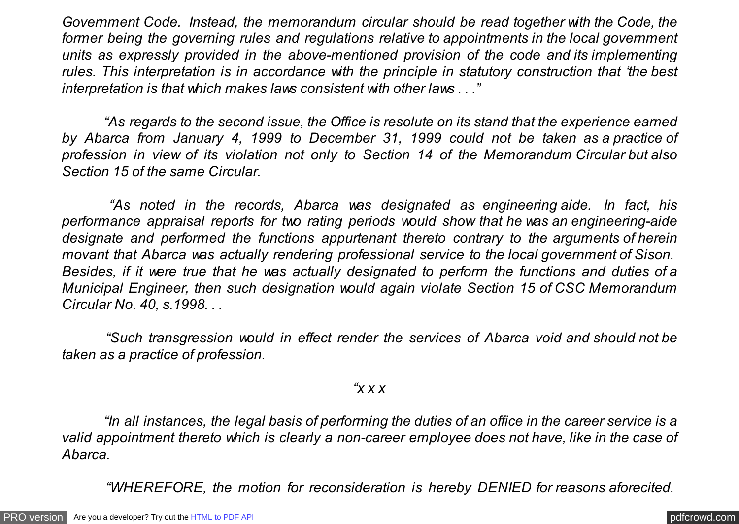*Government Code. Instead, the memorandum circular should be read together with the Code, the former being the governing rules and regulations relative to appointments in the local government units as expressly provided in the above-mentioned provision of the code and its implementing rules. This interpretation is in accordance with the principle in statutory construction that 'the best interpretation is that which makes laws consistent with other laws . . ."*

 *"As regards to the second issue, the Office is resolute on its stand that the experience earned by Abarca from January 4, 1999 to December 31, 1999 could not be taken as a practice of profession in view of its violation not only to Section 14 of the Memorandum Circular but also Section 15 of the same Circular.*

 *"As noted in the records, Abarca was designated as engineering aide. In fact, his performance appraisal reports for two rating periods would show that he was an engineering-aide designate and performed the functions appurtenant thereto contrary to the arguments of herein movant that Abarca was actually rendering professional service to the local government of Sison. Besides, if it were true that he was actually designated to perform the functions and duties of a Municipal Engineer, then such designation would again violate Section 15 of CSC Memorandum Circular No. 40, s.1998. . .*

 *"Such transgression would in effect render the services of Abarca void and should not be taken as a practice of profession.*

### *"x x x*

 *"In all instances, the legal basis of performing the duties of an office in the career service is a valid appointment thereto which is clearly a non-career employee does not have, like in the case of Abarca.*

 *"WHEREFORE, the motion for reconsideration is hereby DENIED for reasons aforecited.*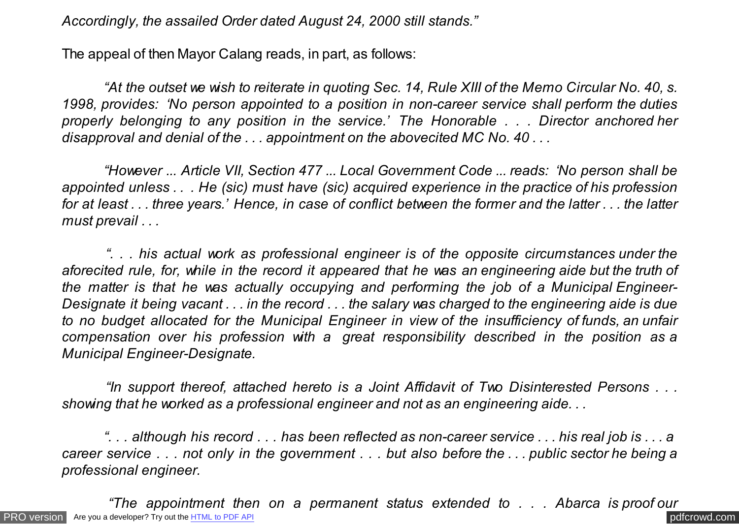*Accordingly, the assailed Order dated August 24, 2000 still stands."*

The appeal of then Mayor Calang reads, in part, as follows:

 *"At the outset we wish to reiterate in quoting Sec. 14, Rule XIII of the Memo Circular No. 40, s. 1998, provides: 'No person appointed to a position in non-career service shall perform the duties properly belonging to any position in the service.' The Honorable . . . Director anchored her disapproval and denial of the . . . appointment on the abovecited MC No. 40 . . .*

 *"However ... Article VII, Section 477 ... Local Government Code ... reads: 'No person shall be appointed unless . . . He (sic) must have (sic) acquired experience in the practice of his profession for at least . . . three years.' Hence, in case of conflict between the former and the latter . . . the latter must prevail . . .*

 *". . . his actual work as professional engineer is of the opposite circumstances under the aforecited rule, for, while in the record it appeared that he was an engineering aide but the truth of the matter is that he was actually occupying and performing the job of a Municipal Engineer-Designate it being vacant . . . in the record . . . the salary was charged to the engineering aide is due to no budget allocated for the Municipal Engineer in view of the insufficiency of funds, an unfair compensation over his profession with a great responsibility described in the position as a Municipal Engineer-Designate.*

 *"In support thereof, attached hereto is a Joint Affidavit of Two Disinterested Persons . . . showing that he worked as a professional engineer and not as an engineering aide. . .*

 *". . . although his record . . . has been reflected as non-career service . . . his real job is . . . a career service . . . not only in the government . . . but also before the . . . public sector he being a professional engineer.*

[PRO version](http://pdfcrowd.com/customize/) Are you a developer? Try out th[e HTML to PDF API](http://pdfcrowd.com/html-to-pdf-api/?ref=pdf) contract the CHTML of PDF API [pdfcrowd.com](http://pdfcrowd.com)  *"The appointment then on a permanent status extended to . . . Abarca is proof our*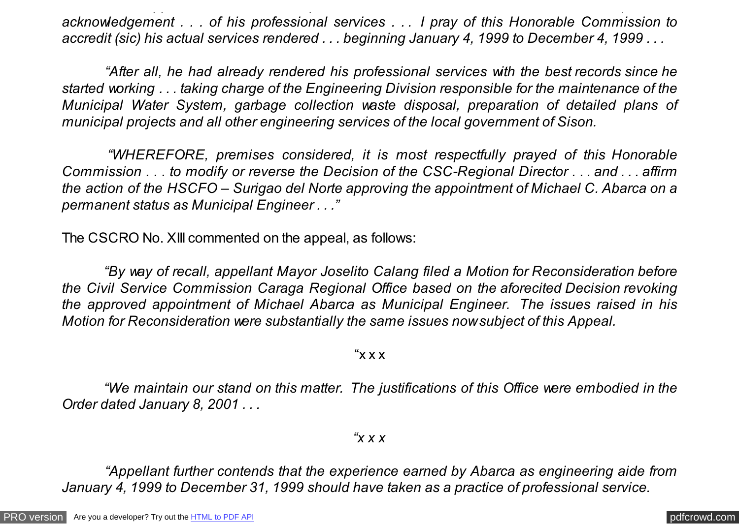<span id="page-5-0"></span>*acknowledgement . . . of his professional services . . . I pray of this Honorable Commission to accredit (sic) his actual services rendered . . . beginning January 4, 1999 to December 4, 1999 . . .*

 *"The appointment then on a permanent status extended to . . . Abarca is proof our*

 *"After all, he had already rendered his professional services with the best records since he started working . . . taking charge of the Engineering Division responsible for the maintenance of the Municipal Water System, garbage collection waste disposal, preparation of detailed plans of municipal projects and all other engineering services of the local government of Sison.*

 *"WHEREFORE, premises considered, it is most respectfully prayed of this Honorable Commission . . . to modify or reverse the Decision of the CSC-Regional Director . . . and . . . affirm the action of the HSCFO – Surigao del Norte approving the appointment of Michael C. Abarca on a permanent status as Municipal Engineer . . ."*

The CSCRO No. XIII commented on the appeal, as follows:

 *"By way of recall, appellant Mayor Joselito Calang filed a Motion for Reconsideration before the Civil Service Commission Caraga Regional Office based on the aforecited Decision revoking the approved appointment of Michael Abarca as Municipal Engineer. The issues raised in his Motion for Reconsideration were substantially the same issues now subject of this Appeal.*

" $X$   $X$   $X$ "

 *"We maintain our stand on this matter. The justifications of this Office were embodied in the Order dated January 8, 2001 . . .*

*"x x x*

 *"Appellant further contends that the experience earned by Abarca as engineering aide from January 4, 1999 to December 31, 1999 should have taken as a practice of professional service.*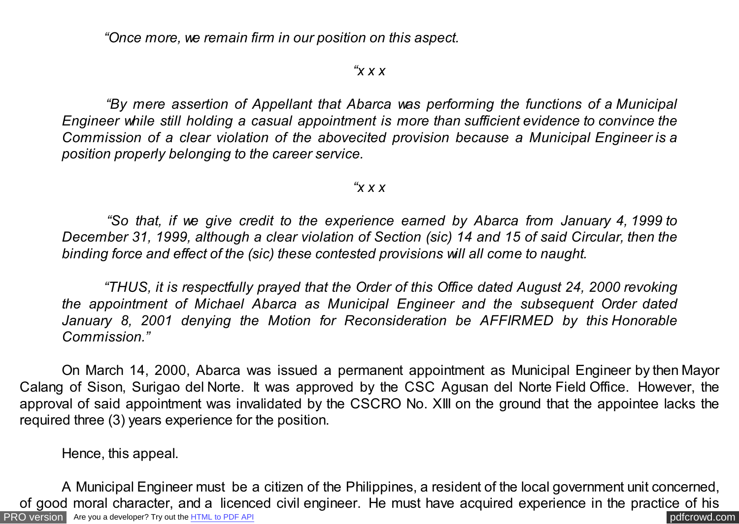*"Once more, we remain firm in our position on this aspect.*

#### *"x x x*

 *"By mere assertion of Appellant that Abarca was performing the functions of a Municipal Engineer while still holding a casual appointment is more than sufficient evidence to convince the Commission of a clear violation of the abovecited provision because a Municipal Engineer is a position properly belonging to the career service.*

#### *"x x x*

 *"So that, if we give credit to the experience earned by Abarca from January 4, 1999 to December 31, 1999, although a clear violation of Section (sic) 14 and 15 of said Circular, then the binding force and effect of the (sic) these contested provisions will all come to naught.*

 *"THUS, it is respectfully prayed that the Order of this Office dated August 24, 2000 revoking the appointment of Michael Abarca as Municipal Engineer and the subsequent Order dated January 8, 2001 denying the Motion for Reconsideration be AFFIRMED by this Honorable Commission."*

On March 14, 2000, Abarca was issued a permanent appointment as Municipal Engineer by then Mayor Calang of Sison, Surigao del Norte. It was approved by the CSC Agusan del Norte Field Office. However, the approval of said appointment was invalidated by the CSCRO No. XIII on the ground that the appointee lacks the required three (3) years experience for the position.

Hence, this appeal.

[PRO version](http://pdfcrowd.com/customize/) Are you a developer? Try out th[e HTML to PDF API](http://pdfcrowd.com/html-to-pdf-api/?ref=pdf) contract the CHTML of PDF API [pdfcrowd.com](http://pdfcrowd.com) A Municipal Engineer must be a citizen of the Philippines, a resident of the local government unit concerned, of good moral character, and a licenced civil engineer. He must have acquired experience in the practice of his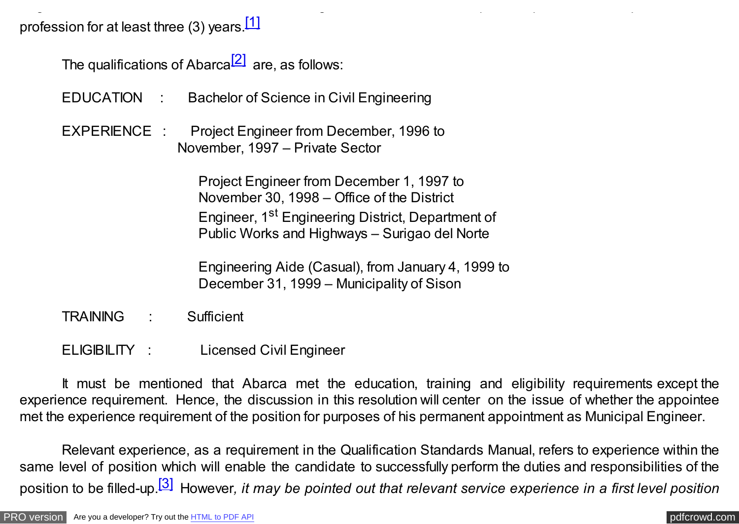profession for at least three (3) years.<sup>[1]</sup>

The qualifications of Abarca<sup>[\[2\]](#page-5-0)</sup> are, as follows:

- EDUCATION : Bachelor of Science in Civil Engineering
- EXPERIENCE : Project Engineer from December, 1996 to November, 1997 – Private Sector

 Project Engineer from December 1, 1997 to November 30, 1998 – Office of the District Engineer, 1<sup>st</sup> Engineering District, Department of Public Works and Highways – Surigao del Norte

of good moral character, and a licenced civil engineer. He must have acquired experience in the practice of his

 Engineering Aide (Casual), from January 4, 1999 to December 31, 1999 – Municipality of Sison

- TRAINING : Sufficient
- ELIGIBILITY : Licensed Civil Engineer

It must be mentioned that Abarca met the education, training and eligibility requirements except the experience requirement. Hence, the discussion in this resolution will center on the issue of whether the appointee met the experience requirement of the position for purposes of his permanent appointment as Municipal Engineer.

Relevant experience, as a requirement in the Qualification Standards Manual, refers to experience within the same level of position which will enable the candidate to successfully perform the duties and responsibilities of the position to be filled-up[.\[3\]](#page-5-0) However*, it may be pointed out that relevant service experience in a first level position*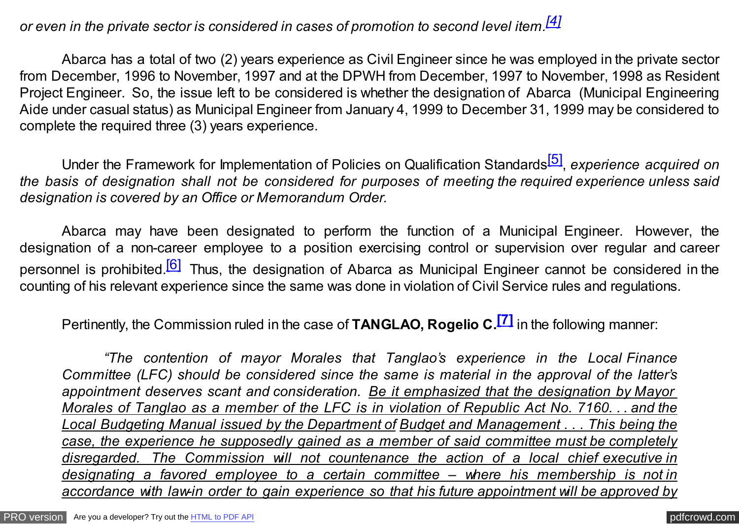# *or even in the private sector is considered in cases of promotion to second level item[.\[4\]](#page-5-0)*

Abarca has a total of two (2) years experience as Civil Engineer since he was employed in the private sector from December, 1996 to November, 1997 and at the DPWH from December, 1997 to November, 1998 as Resident Project Engineer. So, the issue left to be considered is whether the designation of Abarca (Municipal Engineering Aide under casual status) as Municipal Engineer from January 4, 1999 to December 31, 1999 may be considered to complete the required three (3) years experience.

Under the Framework for Implementation of Policies on Qualification Standards[\[5\]](#page-5-0) , *experience acquired on the basis of designation shall not be considered for purposes of meeting the required experience unless said designation is covered by an Office or Memorandum Order.*

Abarca may have been designated to perform the function of a Municipal Engineer. However, the designation of a non-career employee to a position exercising control or supervision over regular and career personnel is prohibited.<sup>[6]</sup> Thus, the designation of Abarca as Municipal Engineer cannot be considered in the counting of his relevant experience since the same was done in violation of Civil Service rules and regulations.

Pertinently, the Commission ruled in the case of **TANGLAO, Rogelio C[.\[7\]](#page-5-0)** in the following manner:

*"The contention of mayor Morales that Tanglao's experience in the Local Finance Committee (LFC) should be considered since the same is material in the approval of the latter's appointment deserves scant and consideration. Be it emphasized that the designation by Mayor Morales of Tanglao as a member of the LFC is in violation of Republic Act No. 7160. . . and the Local Budgeting Manual issued by the Department of Budget and Management . . . This being the case, the experience he supposedly gained as a member of said committee must be completely disregarded. The Commission will not countenance the action of a local chief executive in designating a favored employee to a certain committee – where his membership is not in accordance with law-in order to gain experience so that his future appointment will be approved by*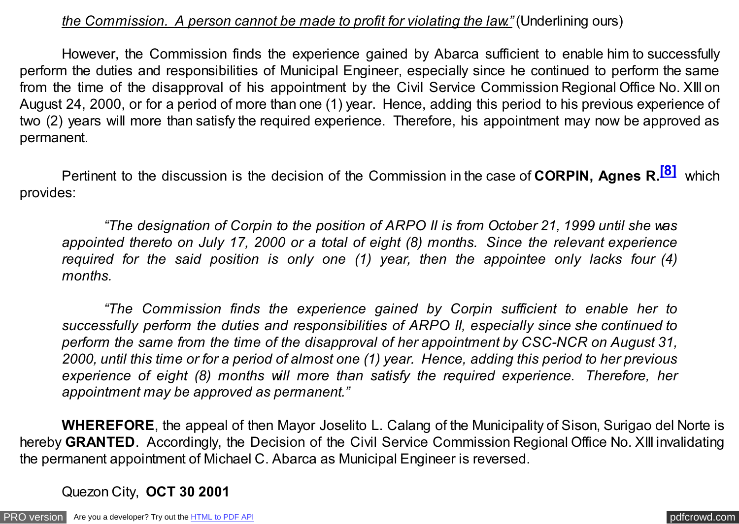## *the Commission. A person cannot be made to profit for violating the law."* (Underlining ours)

However, the Commission finds the experience gained by Abarca sufficient to enable him to successfully perform the duties and responsibilities of Municipal Engineer, especially since he continued to perform the same from the time of the disapproval of his appointment by the Civil Service Commission Regional Office No. XIII on August 24, 2000, or for a period of more than one (1) year. Hence, adding this period to his previous experience of two (2) years will more than satisfy the required experience. Therefore, his appointment may now be approved as permanent.

Pertinent to the discussion is the decision of the Commission in the case of **CORPIN, Agnes R[.\[8\]](#page-5-0)** which provides:

*"The designation of Corpin to the position of ARPO II is from October 21, 1999 until she was appointed thereto on July 17, 2000 or a total of eight (8) months. Since the relevant experience required for the said position is only one (1) year, then the appointee only lacks four (4) months.* 

*"The Commission finds the experience gained by Corpin sufficient to enable her to successfully perform the duties and responsibilities of ARPO II, especially since she continued to perform the same from the time of the disapproval of her appointment by CSC-NCR on August 31, 2000, until this time or for a period of almost one (1) year. Hence, adding this period to her previous experience of eight (8) months will more than satisfy the required experience. Therefore, her appointment may be approved as permanent."*

**WHEREFORE**, the appeal of then Mayor Joselito L. Calang of the Municipality of Sison, Surigao del Norte is hereby **GRANTED**. Accordingly, the Decision of the Civil Service Commission Regional Office No. XIII invalidating the permanent appointment of Michael C. Abarca as Municipal Engineer is reversed.

Quezon City, **OCT 30 2001**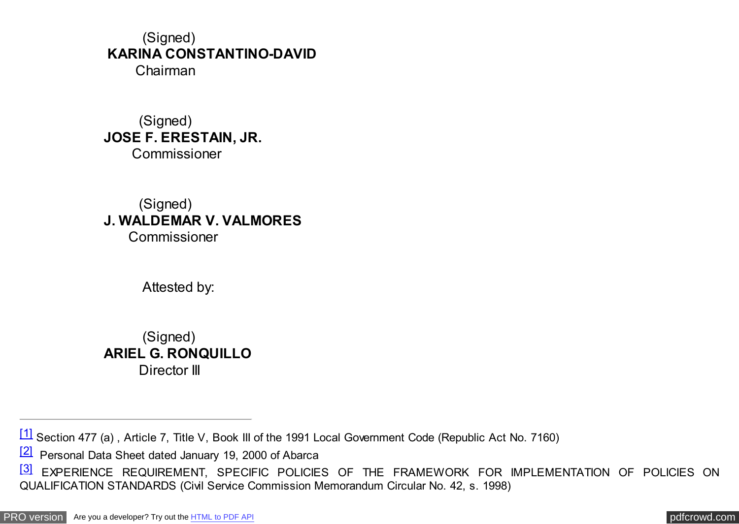### (Signed) **KARINA CONSTANTINO-DAVID** Chairman

 (Signed) **JOSE F. ERESTAIN, JR.** Commissioner

 (Signed) **J. WALDEMAR V. VALMORES** Commissioner

Attested by:

 (Signed) **ARIEL G. RONQUILLO** Director III

<sup>[\[2\]](#page-5-0)</sup> Personal Data Sheet dated January 19, 2000 of Abarca

[<sup>\[1\]</sup>](#page-5-0) Section 477 (a) , Article 7, Title V, Book III of the 1991 Local Government Code (Republic Act No. 7160)

[<sup>\[3\]</sup>](#page-5-0) EXPERIENCE REQUIREMENT, SPECIFIC POLICIES OF THE FRAMEWORK FOR IMPLEMENTATION OF POLICIES ON QUALIFICATION STANDARDS (Civil Service Commission Memorandum Circular No. 42, s. 1998)